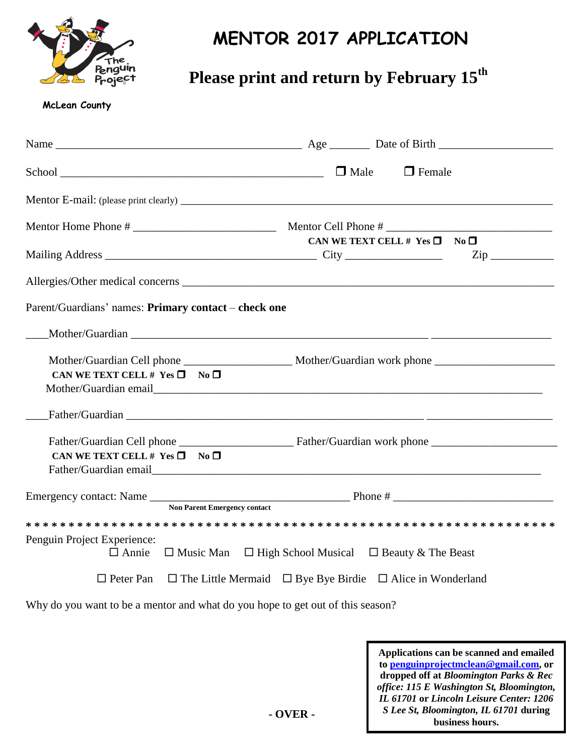

## **MENTOR 2017 APPLICATION**

## **Please print and return by February 15th**

## **McLean County**

|                                                      | $\Box$ Female                                                                                        |
|------------------------------------------------------|------------------------------------------------------------------------------------------------------|
|                                                      |                                                                                                      |
|                                                      | <u> 1990 - Johann Barbara, martin a</u>                                                              |
|                                                      | CAN WE TEXT CELL # $Yes \Box No \Box$<br>$\mathsf{Zip} \_\_$                                         |
|                                                      | Allergies/Other medical concerns                                                                     |
| Parent/Guardians' names: Primary contact - check one |                                                                                                      |
|                                                      |                                                                                                      |
| CAN WE TEXT CELL # $Yes \Box$ No $\square$           | Mother/Guardian Cell phone _____________________ Mother/Guardian work phone ________________________ |
|                                                      |                                                                                                      |
| CAN WE TEXT CELL # $Yes \Box$ No $\Box$              |                                                                                                      |
| <b>Non Parent Emergency contact</b>                  |                                                                                                      |
|                                                      |                                                                                                      |
| Penguin Project Experience:<br>$\Box$ Annie          | $\Box$ Music Man $\Box$ High School Musical $\Box$ Beauty & The Beast                                |
| $\Box$ Peter Pan                                     | $\Box$ The Little Mermaid $\Box$ Bye Bye Birdie $\Box$ Alice in Wonderland                           |

Why do you want to be a mentor and what do you hope to get out of this season?

**Applications can be scanned and emailed to [penguinprojectmclean@gmail.com,](mailto:penguinprojectmclean@gmail.com) or dropped off at** *Bloomington Parks & Rec office: 115 E Washington St, Bloomington, IL 61701* **or** *Lincoln Leisure Center: 1206 S Lee St, Bloomington, IL 61701* **during business hours.**